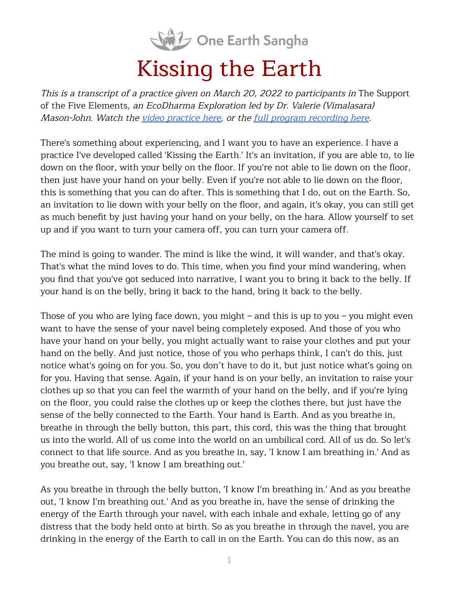

## Kissing the Earth

This is <sup>a</sup> transcript of <sup>a</sup> practice given on March 20, <sup>2022</sup> to participants in The Support of the Five Elements, an EcoDharma Exploration led by Dr. Valerie (Vimalasara) Mason-John. Watch the video [practice](https://oneearthsangha.org/articles/kissing-the-earth/) here, or the full program [recording](https://oneearthsangha.org/articles/pgm-post/ecodharma-explorations/22-03/) here.

There's something about experiencing, and I want you to have an experience. I have a practice I've developed called 'Kissing the Earth.' It's an invitation, if you are able to, to lie down on the floor, with your belly on the floor. If you're not able to lie down on the floor, then just have your hand on your belly. Even if you're not able to lie down on the floor, this is something that you can do after. This is something that I do, out on the Earth. So, an invitation to lie down with your belly on the floor, and again, it's okay, you can still get as much benefit by just having your hand on your belly, on the hara. Allow yourself to set up and if you want to turn your camera off, you can turn your camera off.

The mind is going to wander. The mind is like the wind, it will wander, and that's okay. That's what the mind loves to do. This time, when you find your mind wandering, when you find that you've got seduced into narrative, I want you to bring it back to the belly. If your hand is on the belly, bring it back to the hand, bring it back to the belly.

Those of you who are lying face down, you might – and this is up to you – you might even want to have the sense of your navel being completely exposed. And those of you who have your hand on your belly, you might actually want to raise your clothes and put your hand on the belly. And just notice, those of you who perhaps think, I can't do this, just notice what's going on for you. So, you don't have to do it, but just notice what's going on for you. Having that sense. Again, if your hand is on your belly, an invitation to raise your clothes up so that you can feel the warmth of your hand on the belly, and if you're lying on the floor, you could raise the clothes up or keep the clothes there, but just have the sense of the belly connected to the Earth. Your hand is Earth. And as you breathe in, breathe in through the belly button, this part, this cord, this was the thing that brought us into the world. All of us come into the world on an umbilical cord. All of us do. So let's connect to that life source. And as you breathe in, say, 'I know I am breathing in.' And as you breathe out, say, 'I know I am breathing out.'

As you breathe in through the belly button, 'I know I'm breathing in.' And as you breathe out, 'I know I'm breathing out.' And as you breathe in, have the sense of drinking the energy of the Earth through your navel, with each inhale and exhale, letting go of any distress that the body held onto at birth. So as you breathe in through the navel, you are drinking in the energy of the Earth to call in on the Earth. You can do this now, as an